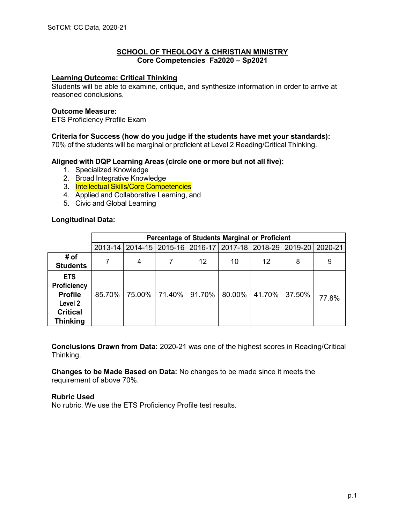### **SCHOOL OF THEOLOGY & CHRISTIAN MINISTRY Core Competencies Fa2020 – Sp2021**

### **Learning Outcome: Critical Thinking**

Students will be able to examine, critique, and synthesize information in order to arrive at reasoned conclusions.

#### **Outcome Measure:**

ETS Proficiency Profile Exam

#### **Criteria for Success (how do you judge if the students have met your standards):**

70% of the students will be marginal or proficient at Level 2 Reading/Critical Thinking.

#### **Aligned with DQP Learning Areas (circle one or more but not all five):**

- 1. Specialized Knowledge
- 2. Broad Integrative Knowledge
- 3. Intellectual Skills/Core Competencies
- 4. Applied and Collaborative Learning, and
- 5. Civic and Global Learning

#### **Longitudinal Data:**

|                                                                                                     | Percentage of Students Marginal or Proficient |                                                                               |        |        |           |               |   |       |
|-----------------------------------------------------------------------------------------------------|-----------------------------------------------|-------------------------------------------------------------------------------|--------|--------|-----------|---------------|---|-------|
|                                                                                                     |                                               | 2013-14   2014-15   2015-16   2016-17   2017-18   2018-29   2019-20   2020-21 |        |        |           |               |   |       |
| # of<br><b>Students</b>                                                                             |                                               | 4                                                                             |        | 12     | 10        | 12            | 8 | 9     |
| <b>ETS</b><br><b>Proficiency</b><br><b>Profile</b><br>Level 2<br><b>Critical</b><br><b>Thinking</b> | 85.70%                                        | 75.00%                                                                        | 71.40% | 91.70% | $80.00\%$ | 41.70% 37.50% |   | 77.8% |

**Conclusions Drawn from Data:** 2020-21 was one of the highest scores in Reading/Critical Thinking.

**Changes to be Made Based on Data:** No changes to be made since it meets the requirement of above 70%.

#### **Rubric Used**

No rubric. We use the ETS Proficiency Profile test results.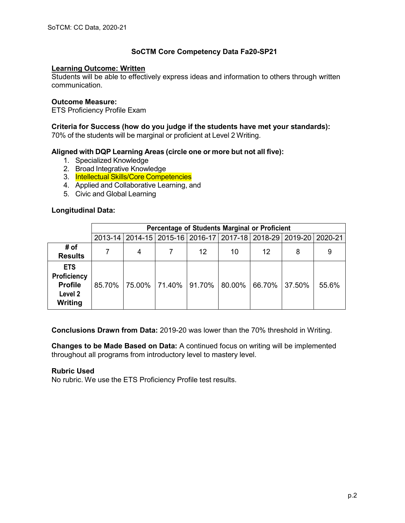# **Learning Outcome: Written**

Students will be able to effectively express ideas and information to others through written communication.

### **Outcome Measure:**

ETS Proficiency Profile Exam

**Criteria for Success (how do you judge if the students have met your standards):** 70% of the students will be marginal or proficient at Level 2 Writing.

# **Aligned with DQP Learning Areas (circle one or more but not all five):**

- 1. Specialized Knowledge
- 2. Broad Integrative Knowledge
- 3. Intellectual Skills/Core Competencies
- 4. Applied and Collaborative Learning, and
- 5. Civic and Global Learning

# **Longitudinal Data:**

|                                                                          | Percentage of Students Marginal or Proficient |        |        |                                                                 |        |        |        |       |
|--------------------------------------------------------------------------|-----------------------------------------------|--------|--------|-----------------------------------------------------------------|--------|--------|--------|-------|
|                                                                          |                                               |        |        | 2013-14 2014-15 2015-16 2016-17 2017-18 2018-29 2019-20 2020-21 |        |        |        |       |
| # of<br><b>Results</b>                                                   |                                               | 4      |        | 12                                                              | 10     | 12     | 8      | 9     |
| <b>ETS</b><br><b>Proficiency</b><br><b>Profile</b><br>Level 2<br>Writing | 85.70%                                        | 75.00% | 71.40% | 91.70%                                                          | 80.00% | 66.70% | 37.50% | 55.6% |

**Conclusions Drawn from Data:** 2019-20 was lower than the 70% threshold in Writing.

**Changes to be Made Based on Data:** A continued focus on writing will be implemented throughout all programs from introductory level to mastery level.

## **Rubric Used**

No rubric. We use the ETS Proficiency Profile test results.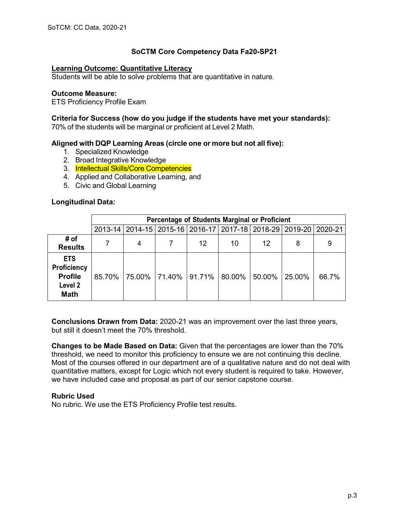### **Learning Outcome: Quantitative Literacy**

Students will be able to solve problems that are quantitative in nature.

#### **Outcome Measure:**

ETS Proficiency Profile Exam

### **Criteria for Success (how do you judge if the students have met your standards):**

70% of the students will be marginal or proficient at Level 2 Math.

# **Aligned with DQP Learning Areas (circle one or more but not all five):**

- 1. Specialized Knowledge
- 2. Broad Integrative Knowledge
- 3. Intellectual Skills/Core Competencies
- 4. Applied and Collaborative Learning, and
- 5. Civic and Global Learning

# **Longitudinal Data:**

|                                                                       | Percentage of Students Marginal or Proficient |        |        |        |        |        |                                                                               |       |
|-----------------------------------------------------------------------|-----------------------------------------------|--------|--------|--------|--------|--------|-------------------------------------------------------------------------------|-------|
|                                                                       |                                               |        |        |        |        |        | 2013-14   2014-15   2015-16   2016-17   2017-18   2018-29   2019-20   2020-21 |       |
| # of<br><b>Results</b>                                                |                                               | 4      |        | 12     | 10     | 12     | 8                                                                             | 9     |
| <b>ETS</b><br>Proficiency<br><b>Profile</b><br>Level 2<br><b>Math</b> | 85.70%                                        | 75.00% | 71.40% | 91.71% | 80.00% | 50.00% | 25.00%                                                                        | 66.7% |

**Conclusions Drawn from Data:** 2020-21 was an improvement over the last three years, but still it doesn't meet the 70% threshold.

**Changes to be Made Based on Data:** Given that the percentages are lower than the 70% threshold, we need to monitor this proficiency to ensure we are not continuing this decline. Most of the courses offered in our department are of a qualitative nature and do not deal with quantitative matters, except for Logic which not every student is required to take. However, we have included case and proposal as part of our senior capstone course.

#### **Rubric Used**

No rubric. We use the ETS Proficiency Profile test results.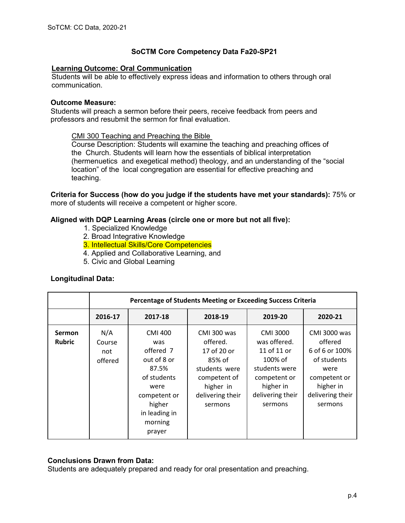# **Learning Outcome: Oral Communication**

Students will be able to effectively express ideas and information to others through oral communication.

### **Outcome Measure:**

Students will preach a sermon before their peers, receive feedback from peers and professors and resubmit the sermon for final evaluation.

# CMI 300 Teaching and Preaching the Bible

Course Description: Students will examine the teaching and preaching offices of the Church. Students will learn how the essentials of biblical interpretation (hermenuetics and exegetical method) theology, and an understanding of the "social location" of the local congregation are essential for effective preaching and teaching.

**Criteria for Success (how do you judge if the students have met your standards):** 75% or more of students will receive a competent or higher score.

# **Aligned with DQP Learning Areas (circle one or more but not all five):**

- 1. Specialized Knowledge
- 2. Broad Integrative Knowledge
- 3. Intellectual Skills/Core Competencies
- 4. Applied and Collaborative Learning, and
- 5. Civic and Global Learning

#### **Longitudinal Data:**

|                                | Percentage of Students Meeting or Exceeding Success Criteria |                                                                                                                                                   |                                                                                                                               |                                                                                                                                 |                                                                                                                              |  |  |  |
|--------------------------------|--------------------------------------------------------------|---------------------------------------------------------------------------------------------------------------------------------------------------|-------------------------------------------------------------------------------------------------------------------------------|---------------------------------------------------------------------------------------------------------------------------------|------------------------------------------------------------------------------------------------------------------------------|--|--|--|
|                                | 2016-17                                                      | 2017-18                                                                                                                                           | 2018-19                                                                                                                       | 2019-20                                                                                                                         | 2020-21                                                                                                                      |  |  |  |
| <b>Sermon</b><br><b>Rubric</b> | N/A<br>Course<br>not<br>offered                              | <b>CMI 400</b><br>was<br>offered 7<br>out of 8 or<br>87.5%<br>of students<br>were<br>competent or<br>higher<br>in leading in<br>morning<br>prayer | CMI 300 was<br>offered.<br>17 of 20 or<br>85% of<br>students were<br>competent of<br>higher in<br>delivering their<br>sermons | CMI 3000<br>was offered.<br>11 of 11 or<br>100% of<br>students were<br>competent or<br>higher in<br>delivering their<br>sermons | CMI 3000 was<br>offered<br>6 of 6 or 100%<br>of students<br>were<br>competent or<br>higher in<br>delivering their<br>sermons |  |  |  |

#### **Conclusions Drawn from Data:**

Students are adequately prepared and ready for oral presentation and preaching.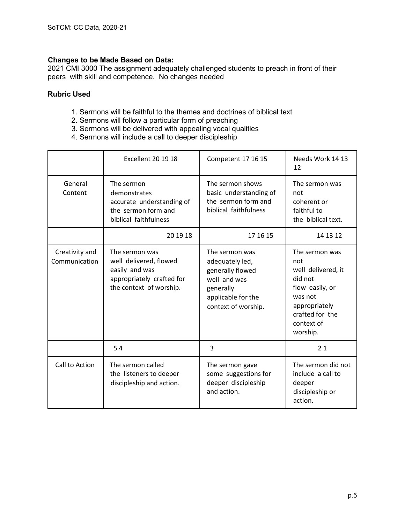# **Changes to be Made Based on Data:**

2021 CMI 3000 The assignment adequately challenged students to preach in front of their peers with skill and competence. No changes needed

# **Rubric Used**

- 1. Sermons will be faithful to the themes and doctrines of biblical text
- 2. Sermons will follow a particular form of preaching
- 3. Sermons will be delivered with appealing vocal qualities
- 4. Sermons will include a call to deeper discipleship

|                                 | Excellent 20 19 18                                                                                                 | Competent 17 16 15                                                                                                              | Needs Work 14 13<br>12                                                                                                                             |  |
|---------------------------------|--------------------------------------------------------------------------------------------------------------------|---------------------------------------------------------------------------------------------------------------------------------|----------------------------------------------------------------------------------------------------------------------------------------------------|--|
| General<br>Content              | The sermon<br>demonstrates<br>accurate understanding of<br>the sermon form and<br>biblical faithfulness            | The sermon shows<br>basic understanding of<br>the sermon form and<br>biblical faithfulness                                      | The sermon was<br>not<br>coherent or<br>faithful to<br>the biblical text.                                                                          |  |
|                                 | 20 19 18                                                                                                           | 17 16 15                                                                                                                        | 14 13 12                                                                                                                                           |  |
| Creativity and<br>Communication | The sermon was<br>well delivered, flowed<br>easily and was<br>appropriately crafted for<br>the context of worship. | The sermon was<br>adequately led,<br>generally flowed<br>well and was<br>generally<br>applicable for the<br>context of worship. | The sermon was<br>not<br>well delivered, it<br>did not<br>flow easily, or<br>was not<br>appropriately<br>crafted for the<br>context of<br>worship. |  |
|                                 | 54                                                                                                                 | 3                                                                                                                               | 21                                                                                                                                                 |  |
| Call to Action                  | The sermon called<br>the listeners to deeper<br>discipleship and action.                                           | The sermon gave<br>some suggestions for<br>deeper discipleship<br>and action.                                                   | The sermon did not<br>include a call to<br>deeper<br>discipleship or<br>action.                                                                    |  |